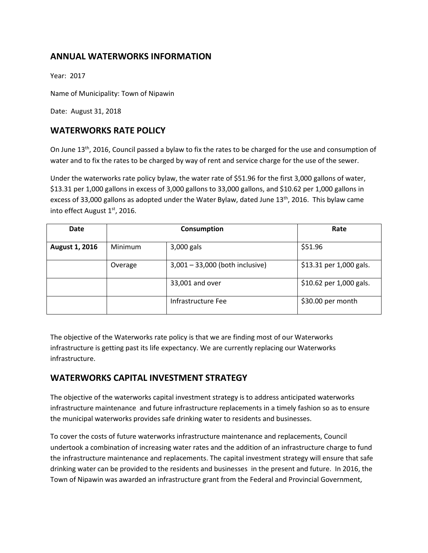# **ANNUAL WATERWORKS INFORMATION**

Year: 2017

Name of Municipality: Town of Nipawin

Date: August 31, 2018

## **WATERWORKS RATE POLICY**

On June 13<sup>th</sup>, 2016, Council passed a bylaw to fix the rates to be charged for the use and consumption of water and to fix the rates to be charged by way of rent and service charge for the use of the sewer.

Under the waterworks rate policy bylaw, the water rate of \$51.96 for the first 3,000 gallons of water, \$13.31 per 1,000 gallons in excess of 3,000 gallons to 33,000 gallons, and \$10.62 per 1,000 gallons in excess of 33,000 gallons as adopted under the Water Bylaw, dated June  $13<sup>th</sup>$ , 2016. This bylaw came into effect August 1<sup>st</sup>, 2016.

| <b>Date</b>           | Consumption |                                   | Rate                    |
|-----------------------|-------------|-----------------------------------|-------------------------|
| <b>August 1, 2016</b> | Minimum     | 3,000 gals                        | \$51.96                 |
|                       | Overage     | $3,001 - 33,000$ (both inclusive) | \$13.31 per 1,000 gals. |
|                       |             | 33,001 and over                   | \$10.62 per 1,000 gals. |
|                       |             | Infrastructure Fee                | \$30.00 per month       |

The objective of the Waterworks rate policy is that we are finding most of our Waterworks infrastructure is getting past its life expectancy. We are currently replacing our Waterworks infrastructure.

## **WATERWORKS CAPITAL INVESTMENT STRATEGY**

The objective of the waterworks capital investment strategy is to address anticipated waterworks infrastructure maintenance and future infrastructure replacements in a timely fashion so as to ensure the municipal waterworks provides safe drinking water to residents and businesses.

To cover the costs of future waterworks infrastructure maintenance and replacements, Council undertook a combination of increasing water rates and the addition of an infrastructure charge to fund the infrastructure maintenance and replacements. The capital investment strategy will ensure that safe drinking water can be provided to the residents and businesses in the present and future. In 2016, the Town of Nipawin was awarded an infrastructure grant from the Federal and Provincial Government,